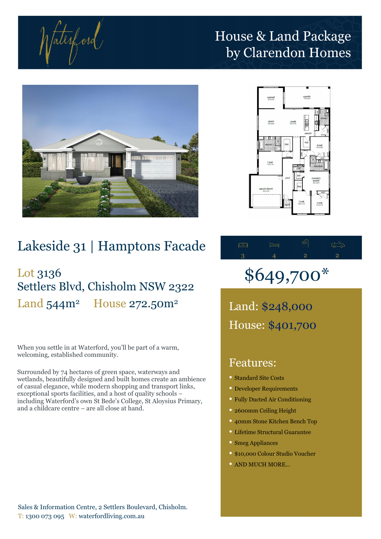tatesford

## House & Land Package by Clarendon Homes





## Lakeside 31 | Hamptons Facade

## Lot 3136 Settlers Blvd, Chisholm NSW 2322 Land  $544m^2$  House  $272.50m^2$

When you settle in at Waterford, you'll be part of a warm, welcoming, established community.

Surrounded by 74 hectares of green space, waterways and wetlands, beautifully designed and built homes create an ambience of casual elegance, while modern shopping and transport links, exceptional sports facilities, and a host of quality schools – including Waterford's own St Bede's College, St Aloysius Primary, and a childcare centre – are all close at hand.



# \$649,700\*

Land: \$248,000 House: \$401,700

### Features:

- Standard Site Costs
- Developer Requirements
- Fully Ducted Air Conditioning
- 2600mm Ceiling Height
- 40mm Stone Kitchen Bench Top
- Lifetime Structural Guarantee
- Smeg Appliances
- \$10,000 Colour Studio Voucher
- AND MUCH MORE…

Sales & Information Centre, 2 Settlers Boulevard, Chisholm. T: 1300 073 095 W: waterfordliving.com.au